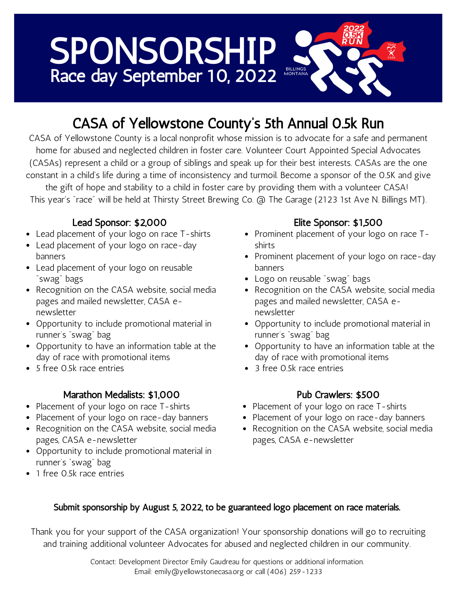# SPONSORSHIP Race day September 10, 2022

## CASA of Yellowstone County's 5th Annual 0.5k Run

CASA of Yellowstone County is a local nonprofit whose mission is to advocate for a safe and permanent home for abused and neglected children in foster care. Volunteer Court Appointed Special Advocates (CASAs) represent a child or a group of siblings and speak up for their best interests. CASAs are the one constant in a child's life during a time of inconsistency and turmoil. Become a sponsor of the 0.5K and give the gift of hope and stability to a child in foster care by providing them with a volunteer CASA!

This year's "race" will be held at Thirsty Street Brewing Co. @ The Garage (2123 1st Ave N. Billings MT).

#### Lead Sponsor: \$2,000

- Lead placement of your logo on race T-shirts
- Lead placement of your logo on race-day banners
- Lead placement of your logo on reusable "swag" bags
- Recognition on the CASA website, social media pages and mailed newsletter, CASA enewsletter
- Opportunity to include promotional material in runner's "swag" bag
- Opportunity to have an information table at the day of race with promotional items
- 5 free 0.5k race entries

#### Marathon Medalists: \$1,000

- Placement of your logo on race T-shirts
- Placement of your logo on race-day banners
- Recognition on the CASA website, social media pages, CASA e-newsletter
- Opportunity to include promotional material in runner's "swag" bag
- 1 free 0.5k race entries

#### Elite Sponsor: \$1,500

- Prominent placement of your logo on race Tshirts
- Prominent placement of your logo on race-day banners
- Logo on reusable "swag" bags
- Recognition on the CASA website, social media pages and mailed newsletter, CASA enewsletter
- Opportunity to include promotional material in runner's "swag" bag
- Opportunity to have an information table at the day of race with promotional items
- 3 free 0.5k race entries

#### Pub Crawlers: \$500

- Placement of your logo on race T-shirts
- Placement of your logo on race-day banners
- Recognition on the CASA website, social media pages, CASA e-newsletter

#### Submit sponsorship by August 5, 2022, to be guaranteed logo placement on race materials.

Thank you for your support of the CASA organization! Your sponsorship donations will go to recruiting and training additional volunteer Advocates for abused and neglected children in our community.